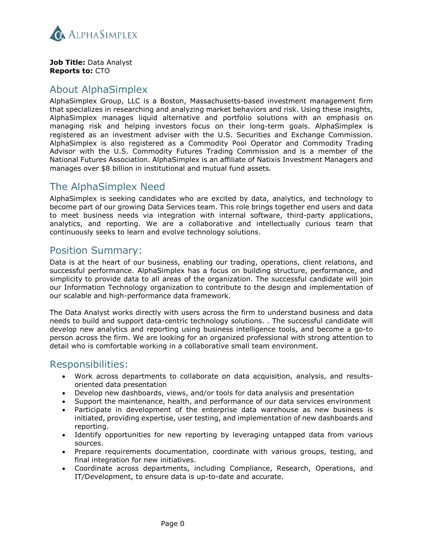

**Job Title:** Data Analyst **Reports to:** CTO

#### About AlphaSimplex

AlphaSimplex Group, LLC is a Boston, Massachusetts-based investment management firm that specializes in researching and analyzing market behaviors and risk. Using these insights, AlphaSimplex manages liquid alternative and portfolio solutions with an emphasis on managing risk and helping investors focus on their long-term goals. AlphaSimplex is registered as an investment adviser with the U.S. Securities and Exchange Commission. AlphaSimplex is also registered as a Commodity Pool Operator and Commodity Trading Advisor with the U.S. Commodity Futures Trading Commission and is a member of the National Futures Association. AlphaSimplex is an affiliate of Natixis Investment Managers and manages over \$8 billion in institutional and mutual fund assets.

## The AlphaSimplex Need

AlphaSimplex is seeking candidates who are excited by data, analytics, and technology to become part of our growing Data Services team. This role brings together end users and data to meet business needs via integration with internal software, third-party applications, analytics, and reporting. We are a collaborative and intellectually curious team that continuously seeks to learn and evolve technology solutions.

### Position Summary:

Data is at the heart of our business, enabling our trading, operations, client relations, and successful performance. AlphaSimplex has a focus on building structure, performance, and simplicity to provide data to all areas of the organization. The successful candidate will join our Information Technology organization to contribute to the design and implementation of our scalable and high-performance data framework.

The Data Analyst works directly with users across the firm to understand business and data needs to build and support data-centric technology solutions. . The successful candidate will develop new analytics and reporting using business intelligence tools, and become a go-to person across the firm. We are looking for an organized professional with strong attention to detail who is comfortable working in a collaborative small team environment.

### Responsibilities:

- Work across departments to collaborate on data acquisition, analysis, and resultsoriented data presentation
- Develop new dashboards, views, and/or tools for data analysis and presentation
- Support the maintenance, health, and performance of our data services environment
- Participate in development of the enterprise data warehouse as new business is initiated, providing expertise, user testing, and implementation of new dashboards and reporting.
- Identify opportunities for new reporting by leveraging untapped data from various sources.
- Prepare requirements documentation, coordinate with various groups, testing, and final integration for new initiatives.
- Coordinate across departments, including Compliance, Research, Operations, and IT/Development, to ensure data is up-to-date and accurate.